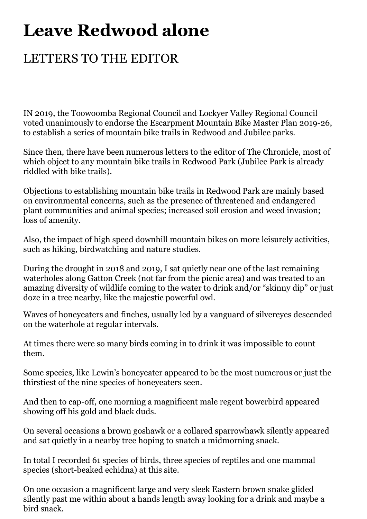## **Leave Redwood alone**

## LETTERS TO THE EDITOR

IN 2019, the Toowoomba Regional Council and Lockyer Valley Regional Council voted unanimously to endorse the Escarpment Mountain Bike Master Plan 2019-26, to establish a series of mountain bike trails in Redwood and Jubilee parks.

Since then, there have been numerous letters to the editor of The Chronicle, most of which object to any mountain bike trails in Redwood Park (Jubilee Park is already riddled with bike trails).

Objections to establishing mountain bike trails in Redwood Park are mainly based on environmental concerns, such as the presence of threatened and endangered plant communities and animal species; increased soil erosion and weed invasion; loss of amenity.

Also, the impact of high speed downhill mountain bikes on more leisurely activities, such as hiking, birdwatching and nature studies.

During the drought in 2018 and 2019, I sat quietly near one of the last remaining waterholes along Gatton Creek (not far from the picnic area) and was treated to an amazing diversity of wildlife coming to the water to drink and/or "skinny dip" or just doze in a tree nearby, like the majestic powerful owl.

Waves of honeyeaters and finches, usually led by a vanguard of silvereyes descended on the waterhole at regular intervals.

At times there were so many birds coming in to drink it was impossible to count them.

Some species, like Lewin's honeyeater appeared to be the most numerous or just the thirstiest of the nine species of honeyeaters seen.

And then to cap-off, one morning a magnificent male regent bowerbird appeared showing off his gold and black duds.

On several occasions a brown goshawk or a collared sparrowhawk silently appeared and sat quietly in a nearby tree hoping to snatch a midmorning snack.

In total I recorded 61 species of birds, three species of reptiles and one mammal species (short-beaked echidna) at this site.

On one occasion a magnificent large and very sleek Eastern brown snake glided silently past me within about a hands length away looking for a drink and maybe a bird snack.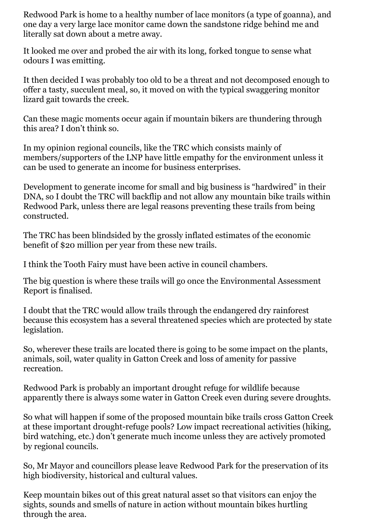Redwood Park is home to a healthy number of lace monitors (a type of goanna), and one day a very large lace monitor came down the sandstone ridge behind me and literally sat down about a metre away.

It looked me over and probed the air with its long, forked tongue to sense what odours I was emitting.

It then decided I was probably too old to be a threat and not decomposed enough to offer a tasty, succulent meal, so, it moved on with the typical swaggering monitor lizard gait towards the creek.

Can these magic moments occur again if mountain bikers are thundering through this area? I don't think so.

In my opinion regional councils, like the TRC which consists mainly of members/supporters of the LNP have little empathy for the environment unless it can be used to generate an income for business enterprises.

Development to generate income for small and big business is "hardwired" in their DNA, so I doubt the TRC will backflip and not allow any mountain bike trails within Redwood Park, unless there are legal reasons preventing these trails from being constructed.

The TRC has been blindsided by the grossly inflated estimates of the economic benefit of \$20 million per year from these new trails.

I think the Tooth Fairy must have been active in council chambers.

The big question is where these trails will go once the Environmental Assessment Report is finalised.

I doubt that the TRC would allow trails through the endangered dry rainforest because this ecosystem has a several threatened species which are protected by state legislation.

So, wherever these trails are located there is going to be some impact on the plants, animals, soil, water quality in Gatton Creek and loss of amenity for passive recreation.

Redwood Park is probably an important drought refuge for wildlife because apparently there is always some water in Gatton Creek even during severe droughts.

So what will happen if some of the proposed mountain bike trails cross Gatton Creek at these important drought-refuge pools? Low impact recreational activities (hiking, bird watching, etc.) don't generate much income unless they are actively promoted by regional councils.

So, Mr Mayor and councillors please leave Redwood Park for the preservation of its high biodiversity, historical and cultural values.

Keep mountain bikes out of this great natural asset so that visitors can enjoy the sights, sounds and smells of nature in action without mountain bikes hurtling through the area.